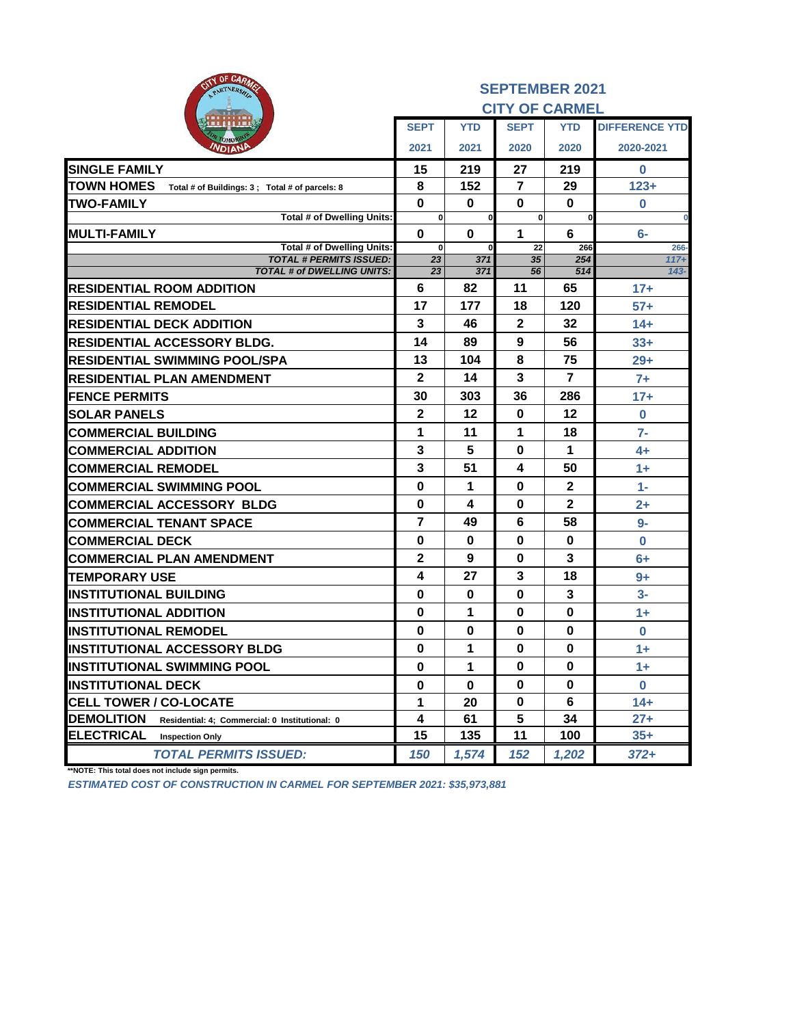| <b>ITY OF CARA</b><br>PARTNERSH                                      | <b>SEPTEMBER 2021</b> |            |                       |                |                       |  |  |
|----------------------------------------------------------------------|-----------------------|------------|-----------------------|----------------|-----------------------|--|--|
|                                                                      |                       |            | <b>CITY OF CARMEL</b> |                |                       |  |  |
|                                                                      | <b>SEPT</b>           | <b>YTD</b> | <b>SEPT</b>           | <b>YTD</b>     | <b>DIFFERENCE YTD</b> |  |  |
| эмо<br><b>NDIANE</b>                                                 | 2021                  | 2021       | 2020                  | 2020           | 2020-2021             |  |  |
| <b>SINGLE FAMILY</b>                                                 | 15                    | 219        | 27                    | 219            | 0                     |  |  |
| <b>TOWN HOMES</b><br>Total # of Buildings: 3 ; Total # of parcels: 8 | 8                     | 152        | $\overline{7}$        | 29             | $123+$                |  |  |
| <b>TWO-FAMILY</b>                                                    | $\bf{0}$              | 0          | $\bf{0}$              | $\bf{0}$       | 0                     |  |  |
| Total # of Dwelling Units:                                           | 0                     | 0          | 0                     | 0              | $\bf{0}$              |  |  |
| <b>MULTI-FAMILY</b><br><b>Total # of Dwelling Units:</b>             | $\bf{0}$<br>0         | 0          | 1<br>22               | 6<br>266       | $6-$<br>266-          |  |  |
| <b>TOTAL # PERMITS ISSUED:</b>                                       | 23                    | 371        | 35                    | 254            | $117+$                |  |  |
| <b>TOTAL # of DWELLING UNITS:</b>                                    | 23                    | 371        | 56                    | 514            | $143 -$               |  |  |
| <b>RESIDENTIAL ROOM ADDITION</b>                                     | 6                     | 82         | 11                    | 65             | $17+$                 |  |  |
| <b>RESIDENTIAL REMODEL</b>                                           | 17                    | 177        | 18                    | 120            | $57+$                 |  |  |
| <b>RESIDENTIAL DECK ADDITION</b>                                     | 3                     | 46         | $\mathbf 2$           | 32             | $14+$                 |  |  |
| <b>RESIDENTIAL ACCESSORY BLDG.</b>                                   | 14                    | 89         | 9                     | 56             | $33+$                 |  |  |
| IRESIDENTIAL SWIMMING POOL/SPA                                       | 13                    | 104        | 8                     | 75             | $29+$                 |  |  |
| <b>RESIDENTIAL PLAN AMENDMENT</b>                                    | $\mathbf{2}$          | 14         | 3                     | $\overline{7}$ | $7+$                  |  |  |
| <b>FENCE PERMITS</b>                                                 | 30                    | 303        | 36                    | 286            | $17+$                 |  |  |
| <b>SOLAR PANELS</b>                                                  | $\boldsymbol{2}$      | 12         | $\bf{0}$              | 12             | $\bf{0}$              |  |  |
| <b>COMMERCIAL BUILDING</b>                                           | 1                     | 11         | 1                     | 18             | $7-$                  |  |  |
| <b>COMMERCIAL ADDITION</b>                                           | 3                     | 5          | $\bf{0}$              | 1              | $4+$                  |  |  |
| <b>COMMERCIAL REMODEL</b>                                            | 3                     | 51         | 4                     | 50             | $1+$                  |  |  |
| <b>COMMERCIAL SWIMMING POOL</b>                                      | 0                     | 1          | 0                     | $\mathbf{2}$   | $1 -$                 |  |  |
| <b>COMMERCIAL ACCESSORY BLDG</b>                                     | $\mathbf 0$           | 4          | 0                     | $\mathbf{2}$   | $2+$                  |  |  |
| <b>COMMERCIAL TENANT SPACE</b>                                       | $\overline{7}$        | 49         | 6                     | 58             | $9-$                  |  |  |
| <b>COMMERCIAL DECK</b>                                               | $\bf{0}$              | $\bf{0}$   | $\bf{0}$              | $\bf{0}$       | $\bf{0}$              |  |  |
| <b>COMMERCIAL PLAN AMENDMENT</b>                                     | $\mathbf{2}$          | 9          | 0                     | 3              | $6+$                  |  |  |
| <b>ITEMPORARY USE</b>                                                | 4                     | 27         | 3                     | 18             | $9+$                  |  |  |
| <b>INSTITUTIONAL BUILDING</b>                                        | $\bf{0}$              | 0          | 0                     | 3              | $3-$                  |  |  |
| <b>INSTITUTIONAL ADDITION</b>                                        | $\bf{0}$              | 1          | 0                     | $\bf{0}$       | $1+$                  |  |  |
| <b>IINSTITUTIONAL REMODEL</b>                                        | $\bf{0}$              | 0          | 0                     | $\bf{0}$       | $\bf{0}$              |  |  |
| <b>INSTITUTIONAL ACCESSORY BLDG</b>                                  | $\bf{0}$              | 1          | $\bf{0}$              | $\bf{0}$       | $1+$                  |  |  |
| <b>INSTITUTIONAL SWIMMING POOL</b>                                   | $\bf{0}$              | 1          | 0                     | 0              | $1+$                  |  |  |
| <b>INSTITUTIONAL DECK</b>                                            | $\bf{0}$              | $\bf{0}$   | $\bf{0}$              | 0              | 0                     |  |  |
| <b>CELL TOWER / CO-LOCATE</b>                                        | 1                     | 20         | 0                     | 6              | $14+$                 |  |  |
| <b>DEMOLITION</b><br>Residential: 4; Commercial: 0 Institutional: 0  | 4                     | 61         | 5                     | 34             | $27 +$                |  |  |
| <b>ELECTRICAL</b><br><b>Inspection Only</b>                          | 15                    | 135        | 11                    | 100            | $35+$                 |  |  |
| <b>TOTAL PERMITS ISSUED:</b>                                         | 150                   | 1,574      | 152                   | 1,202          | $372+$                |  |  |

**\*\*NOTE: This total does not include sign permits.**

*ESTIMATED COST OF CONSTRUCTION IN CARMEL FOR SEPTEMBER 2021: \$35,973,881*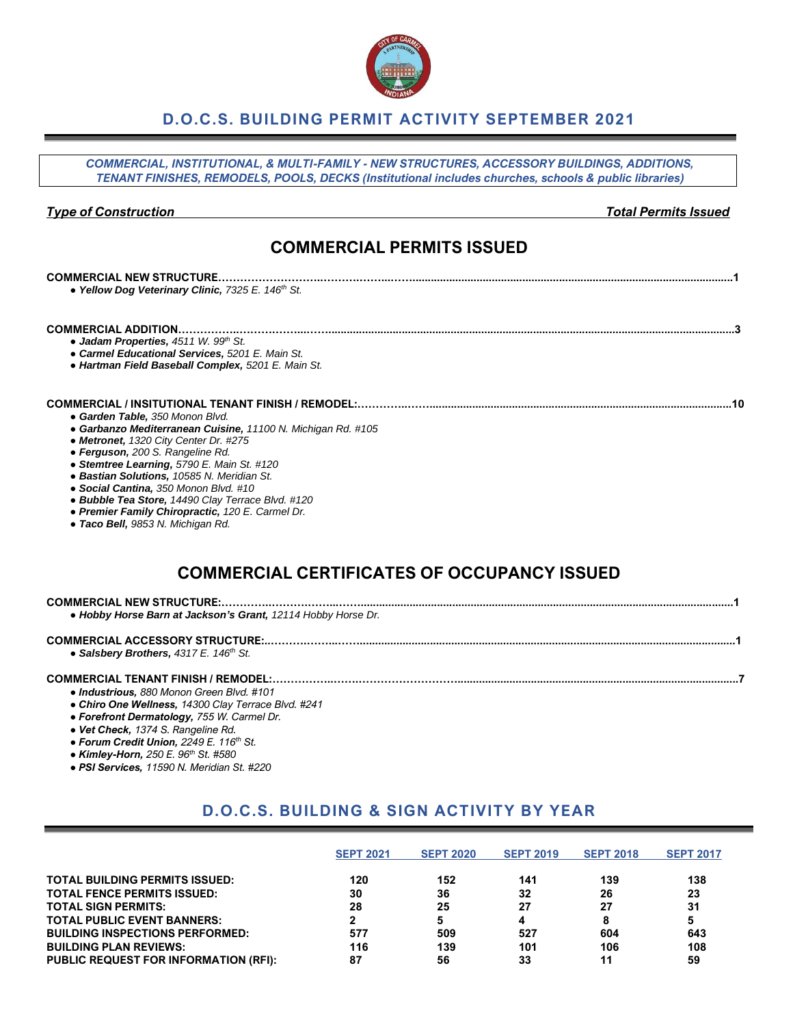### **D.O.C.S. BUILDING PERMIT ACTIVITY SEPTEMBER 2021**

*COMMERCIAL, INSTITUTIONAL, & MULTI-FAMILY - NEW STRUCTURES, ACCESSORY BUILDINGS, ADDITIONS, TENANT FINISHES, REMODELS, POOLS, DECKS (Institutional includes churches, schools & public libraries)*

#### *Type of Construction Total Permits Issued*

### **COMMERCIAL PERMITS ISSUED**

| <b>COMMERCIAL NEW STRUCTURE</b><br>• Yellow Dog Veterinary Clinic, 7325 E. 146 <sup>th</sup> St.                                                                                                                                                                                                                                                                                                                                                                                                                             |  |
|------------------------------------------------------------------------------------------------------------------------------------------------------------------------------------------------------------------------------------------------------------------------------------------------------------------------------------------------------------------------------------------------------------------------------------------------------------------------------------------------------------------------------|--|
| <b>COMMERCIAL ADDITION</b><br>• Jadam Properties, $4511 W. 99th St.$<br>• Carmel Educational Services, 5201 E. Main St.<br>• Hartman Field Baseball Complex, 5201 E. Main St.                                                                                                                                                                                                                                                                                                                                                |  |
| <b>COMMERCIAL / INSITUTIONAL TENANT FINISH / REMODEL:</b><br>• Garden Table, 350 Monon Blvd.<br>• Garbanzo Mediterranean Cuisine, 11100 N. Michigan Rd. #105<br>• Metronet, 1320 City Center Dr. #275<br>• Ferguson, 200 S. Rangeline Rd.<br>• Stemtree Learning, 5790 E. Main St. #120<br>• Bastian Solutions, 10585 N. Meridian St.<br>• Social Cantina, 350 Monon Blvd. #10<br>• Bubble Tea Store, 14490 Clay Terrace Blvd. #120<br>• Premier Family Chiropractic, 120 E. Carmel Dr.<br>• Taco Bell, 9853 N. Michigan Rd. |  |
| <b>COMMERCIAL CERTIFICATES OF OCCUPANCY ISSUED</b>                                                                                                                                                                                                                                                                                                                                                                                                                                                                           |  |
| COMMERCIAL MEW CTRUCTURE                                                                                                                                                                                                                                                                                                                                                                                                                                                                                                     |  |

| • Hobby Horse Barn at Jackson's Grant, 12114 Hobby Horse Dr. |  |
|--------------------------------------------------------------|--|
| • Salsbery Brothers, $4317 E$ . $146th St$ .                 |  |

- **COMMERCIAL TENANT FINISH / REMODEL:……………..…….………………………............................................................................................7** *● Industrious, 880 Monon Green Blvd. #101*
	- *● Chiro One Wellness, 14300 Clay Terrace Blvd. #241*
	- *● Forefront Dermatology, 755 W. Carmel Dr.*
	- *● Vet Check, 1374 S. Rangeline Rd.*
	- *● Forum Credit Union, 2249 E. 116th St.*
	- *● Kimley-Horn, 250 E. 96th St. #580*
	- *● PSI Services, 11590 N. Meridian St. #220*

## **D.O.C.S. BUILDING & SIGN ACTIVITY BY YEAR**

|                                              | <b>SEPT 2021</b> | <b>SEPT 2020</b> | <b>SEPT 2019</b> | <b>SEPT 2018</b> | <b>SEPT 2017</b> |
|----------------------------------------------|------------------|------------------|------------------|------------------|------------------|
| <b>TOTAL BUILDING PERMITS ISSUED:</b>        | 120              | 152              | 141              | 139              | 138              |
| <b>TOTAL FENCE PERMITS ISSUED:</b>           | 30               | 36               | 32               | 26               | 23               |
| <b>TOTAL SIGN PERMITS:</b>                   | 28               | 25               | 27               | 27               | 31               |
| <b>TOTAL PUBLIC EVENT BANNERS:</b>           |                  | 5                | 4                | 8                | 5                |
| <b>BUILDING INSPECTIONS PERFORMED:</b>       | 577              | 509              | 527              | 604              | 643              |
| <b>BUILDING PLAN REVIEWS:</b>                | 116              | 139              | 101              | 106              | 108              |
| <b>PUBLIC REQUEST FOR INFORMATION (RFI):</b> | 87               | 56               | 33               | 11               | 59               |

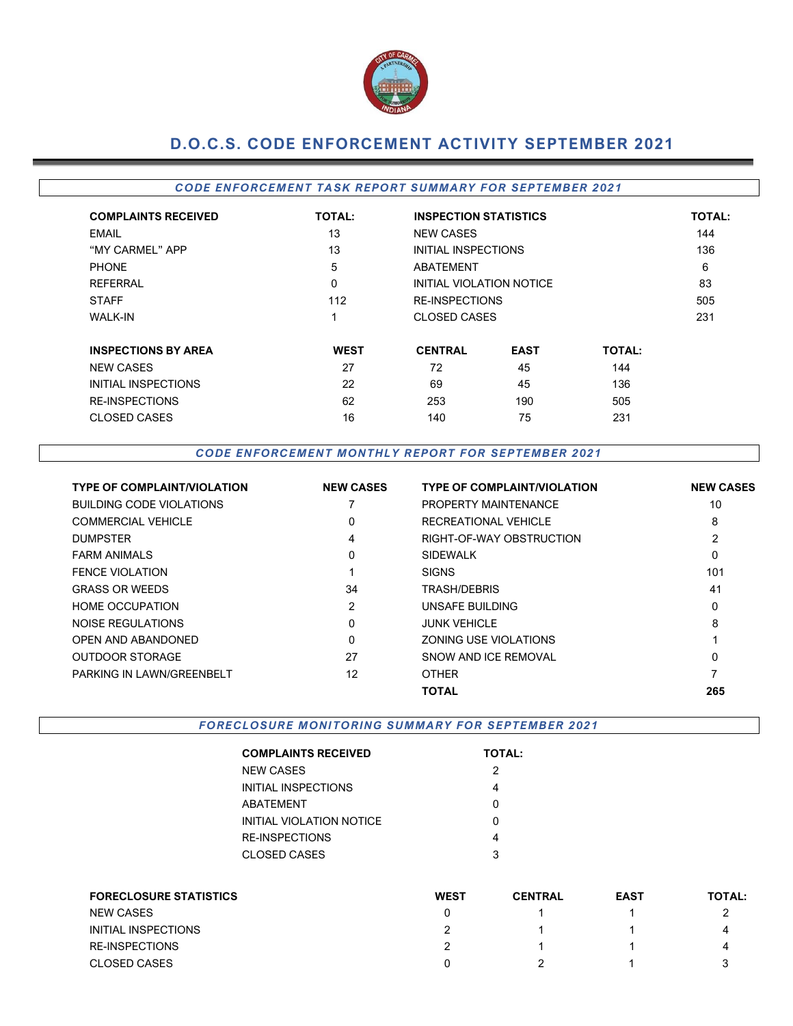

# **D.O.C.S. CODE ENFORCEMENT ACTIVITY SEPTEMBER 2021**

#### **CODE ENFORCEMENT TASK REPORT SUMMARY FOR SEPTEMBER 2021**

| <b>COMPLAINTS RECEIVED</b> | <b>TOTAL:</b> | <b>INSPECTION STATISTICS</b> | <b>TOTAL:</b> |               |     |
|----------------------------|---------------|------------------------------|---------------|---------------|-----|
| <b>EMAIL</b>               | 13            | <b>NEW CASES</b>             |               |               | 144 |
| "MY CARMEL" APP            | 13            | INITIAL INSPECTIONS          |               |               | 136 |
| <b>PHONE</b>               | 5             | ABATEMENT                    |               |               | 6   |
| <b>REFERRAL</b>            | 0             | INITIAL VIOLATION NOTICE     |               |               | 83  |
| <b>STAFF</b>               | 112           | <b>RE-INSPECTIONS</b>        |               |               | 505 |
| <b>WALK-IN</b>             | ◢             | <b>CLOSED CASES</b>          |               |               | 231 |
| <b>INSPECTIONS BY AREA</b> | <b>WEST</b>   | <b>CENTRAL</b>               | <b>EAST</b>   | <b>TOTAL:</b> |     |
| <b>NEW CASES</b>           | 27            | 72                           | 45            | 144           |     |
| <b>INITIAL INSPECTIONS</b> | 22            | 69                           | 45            | 136           |     |
| <b>RE-INSPECTIONS</b>      | 62            | 253                          | 190           | 505           |     |
| <b>CLOSED CASES</b>        | 16            | 140                          | 75            | 231           |     |

#### *CODE EN FORCEM EN T M ONTHLY R EPORT FOR SEPTEMB ER 2021*

| <b>TYPE OF COMPLAINT/VIOLATION</b> | <b>NEW CASES</b> | <b>TYPE OF COMPLAINT/VIOLATION</b> | <b>NEW CASES</b> |
|------------------------------------|------------------|------------------------------------|------------------|
| <b>BUILDING CODE VIOLATIONS</b>    |                  | <b>PROPERTY MAINTENANCE</b>        | 10               |
| <b>COMMERCIAL VEHICLE</b>          | $\mathbf{0}$     | RECREATIONAL VEHICLE               | 8                |
| <b>DUMPSTER</b>                    | 4                | RIGHT-OF-WAY OBSTRUCTION           | 2                |
| <b>FARM ANIMALS</b>                | $\mathbf{0}$     | <b>SIDEWALK</b>                    | 0                |
| <b>FENCE VIOLATION</b>             |                  | <b>SIGNS</b>                       | 101              |
| <b>GRASS OR WEEDS</b>              | 34               | TRASH/DEBRIS                       | 41               |
| <b>HOME OCCUPATION</b>             | $\overline{2}$   | UNSAFE BUILDING                    | 0                |
| NOISE REGULATIONS                  | $\mathbf{0}$     | <b>JUNK VEHICLE</b>                | 8                |
| OPEN AND ABANDONED                 | $\mathbf{0}$     | ZONING USE VIOLATIONS              |                  |
| <b>OUTDOOR STORAGE</b>             | 27               | SNOW AND ICE REMOVAL               | $\mathbf{0}$     |
| PARKING IN LAWN/GREENBELT          | 12               | <b>OTHER</b>                       |                  |
|                                    |                  | <b>TOTAL</b>                       | 265              |

FORECLOSURE MONITORING SUMMARY FOR SEPTEMBER 2021

| <b>COMPLAINTS RECEIVED</b> | <b>TOTAL:</b> |
|----------------------------|---------------|
| NEW CASES                  | 2             |
| INITIAL INSPECTIONS        | 4             |
| ABATEMENT                  | U             |
| INITIAL VIOLATION NOTICE   | O             |
| RE-INSPECTIONS             | 4             |
| CLOSED CASES               | 3             |
|                            |               |

| <b>FORECLOSURE STATISTICS</b> | <b>WEST</b> | <b>CENTRAL</b> | <b>EAST</b> | <b>TOTAL:</b> |
|-------------------------------|-------------|----------------|-------------|---------------|
| <b>NEW CASES</b>              |             |                |             |               |
| INITIAL INSPECTIONS           |             |                |             | 4             |
| <b>RE-INSPECTIONS</b>         |             |                |             | 4             |
| <b>CLOSED CASES</b>           |             |                |             |               |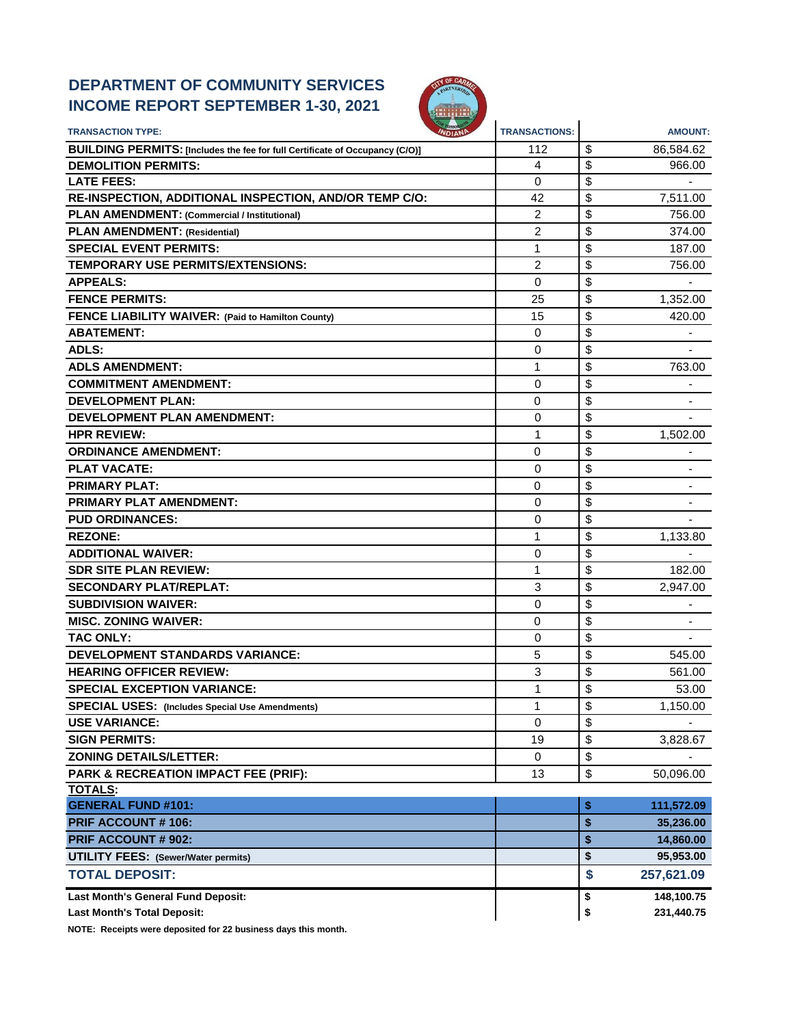# **DEPARTMENT OF COMMUNITY SERVICES INCOME REPORT SEPTEMBER 1-30, 2021**



| <b>TRANSACTION TYPE:</b>                                                     | <b>TRANSACTIONS:</b> | <b>AMOUNT:</b>   |
|------------------------------------------------------------------------------|----------------------|------------------|
| BUILDING PERMITS: [Includes the fee for full Certificate of Occupancy (C/O)] | 112                  | \$<br>86,584.62  |
| <b>DEMOLITION PERMITS:</b>                                                   | 4                    | \$<br>966.00     |
| <b>LATE FEES:</b>                                                            | 0                    | \$               |
| RE-INSPECTION, ADDITIONAL INSPECTION, AND/OR TEMP C/O:                       | 42                   | \$<br>7,511.00   |
| PLAN AMENDMENT: (Commercial / Institutional)                                 | 2                    | \$<br>756.00     |
| <b>PLAN AMENDMENT: (Residential)</b>                                         | $\overline{c}$       | \$<br>374.00     |
| <b>SPECIAL EVENT PERMITS:</b>                                                | 1                    | \$<br>187.00     |
| TEMPORARY USE PERMITS/EXTENSIONS:                                            | 2                    | \$<br>756.00     |
| <b>APPEALS:</b>                                                              | $\Omega$             | \$               |
| <b>FENCE PERMITS:</b>                                                        | 25                   | \$<br>1,352.00   |
| FENCE LIABILITY WAIVER: (Paid to Hamilton County)                            | 15                   | \$<br>420.00     |
| <b>ABATEMENT:</b>                                                            | 0                    | \$               |
| <b>ADLS:</b>                                                                 | $\Omega$             | \$               |
| <b>ADLS AMENDMENT:</b>                                                       | 1                    | \$<br>763.00     |
| <b>COMMITMENT AMENDMENT:</b>                                                 | 0                    | \$               |
| <b>DEVELOPMENT PLAN:</b>                                                     | 0                    | \$               |
| <b>DEVELOPMENT PLAN AMENDMENT:</b>                                           | 0                    | \$               |
| <b>HPR REVIEW:</b>                                                           | 1                    | \$<br>1,502.00   |
| <b>ORDINANCE AMENDMENT:</b>                                                  | 0                    | \$               |
| <b>PLAT VACATE:</b>                                                          | $\Omega$             | \$               |
| <b>PRIMARY PLAT:</b>                                                         | 0                    | \$               |
| PRIMARY PLAT AMENDMENT:                                                      | 0                    | \$               |
| <b>PUD ORDINANCES:</b>                                                       | 0                    | \$               |
| <b>REZONE:</b>                                                               | 1                    | \$<br>1,133.80   |
| <b>ADDITIONAL WAIVER:</b>                                                    | 0                    | \$               |
| <b>SDR SITE PLAN REVIEW:</b>                                                 | 1                    | \$<br>182.00     |
| <b>SECONDARY PLAT/REPLAT:</b>                                                | 3                    | \$<br>2,947.00   |
| <b>SUBDIVISION WAIVER:</b>                                                   | 0                    | \$               |
| <b>MISC. ZONING WAIVER:</b>                                                  | 0                    | \$               |
| <b>TAC ONLY:</b>                                                             | 0                    | \$               |
| <b>DEVELOPMENT STANDARDS VARIANCE:</b>                                       | 5                    | \$<br>545.00     |
| <b>HEARING OFFICER REVIEW:</b>                                               | 3                    | \$<br>561.00     |
| <b>SPECIAL EXCEPTION VARIANCE:</b>                                           | 1                    | \$<br>53.00      |
| <b>SPECIAL USES:</b> (Includes Special Use Amendments)                       | 1                    | \$<br>1,150.00   |
| <b>USE VARIANCE:</b>                                                         | $\mathbf 0$          | \$               |
| <b>SIGN PERMITS:</b>                                                         | 19                   | \$<br>3,828.67   |
| <b>ZONING DETAILS/LETTER:</b>                                                | 0                    | \$               |
| PARK & RECREATION IMPACT FEE (PRIF):                                         | 13                   | \$<br>50,096.00  |
| <b>TOTALS:</b>                                                               |                      |                  |
| <b>GENERAL FUND #101:</b>                                                    |                      | \$<br>111,572.09 |
| <b>PRIF ACCOUNT #106:</b>                                                    |                      | \$<br>35,236.00  |
| PRIF ACCOUNT # 902:                                                          |                      | \$<br>14,860.00  |
| <b>UTILITY FEES: (Sewer/Water permits)</b>                                   |                      | \$<br>95,953.00  |
| <b>TOTAL DEPOSIT:</b>                                                        |                      | \$<br>257,621.09 |
| Last Month's General Fund Deposit:                                           |                      | \$<br>148,100.75 |
| <b>Last Month's Total Deposit:</b>                                           |                      | \$<br>231,440.75 |

**NOTE: Receipts were deposited for 22 business days this month.**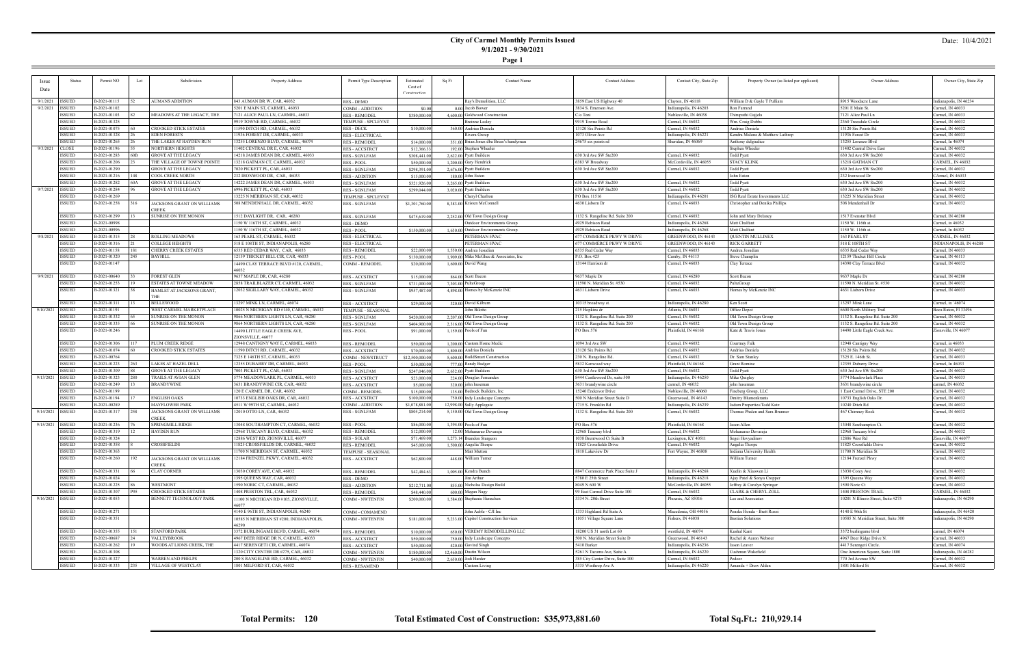### **City of Carmel Monthly Permits Issued 9/1/2021 - 9/30/2021**

**Page 1**

#### Date: 10/4/2021

|                        | <b>Status</b> | Permit NO    | Lot  | Subdivision                       | Property Address                        | Permit Type Description          | Estimated       | Sq Ft | <b>Contact Name</b>                     | <b>Contact Address</b>           | Contact City, State Zip | Property Owner (as listed per applicant) | Owner Address                       | Owner City, State Zip  |
|------------------------|---------------|--------------|------|-----------------------------------|-----------------------------------------|----------------------------------|-----------------|-------|-----------------------------------------|----------------------------------|-------------------------|------------------------------------------|-------------------------------------|------------------------|
| <b>Issue</b>           |               |              |      |                                   |                                         |                                  | Cost of         |       |                                         |                                  |                         |                                          |                                     |                        |
| Date                   |               |              |      |                                   |                                         |                                  |                 |       |                                         |                                  |                         |                                          |                                     |                        |
|                        |               |              |      |                                   |                                         |                                  |                 |       |                                         |                                  |                         |                                          |                                     |                        |
| 9/1/2021   ISSUED      |               | B-2021-01115 |      | AUMANS ADDITION                   | 843 AUMAN DR W, CAR, 46032              | <b>RES - DEMO</b>                |                 |       | Ray's Demolition, LLC                   | 3859 East US Highway 40          | Clayton, IN 46118       | William D & Gayle T Pulliam              | 8915 Woodacre Lane                  | Indianapolis, IN 46234 |
| 9/2/2021               | <b>ISSUED</b> | B-2021-01102 |      |                                   | 5201 E MAIN ST, CARMEL, 46033           | COMM - ADDITION                  | \$0.00          |       | 0.00 Jacob Bower                        | 3834 S. Emerson Ave.             | Indianapolis, IN 46203  | Ron Farrand                              | 5201 E Main St.                     | Carmel, IN 46033       |
|                        | <b>ISSUED</b> | B-2021-01103 |      | MEADOWS AT THE LEGACY, THE        | 7121 ALICE PAUL LN, CARMEL, 46033       | <b>RES - REMODEL</b>             | \$380,000.00    |       | 4,600.00 Goldwood Construction          | C/o Toni                         | Noblesville, IN 46038   | Thirupathi Gajjela                       | 7121 Alice Paul Ln                  | Carmel, IN 46033       |
|                        | <b>ISSUED</b> | B-2021-01325 |      |                                   | 9919 TOWNE RD, CARMEL, 46032            | <b><i>TEMPUSE - SPCLEVNT</i></b> |                 |       | Breinne Lasley                          | 9919 Towne Road                  | Carmel, IN 46032        | Wm. Craig Dobb:                          | 2360 Treesdale Circle               | Carmel, IN 46032       |
|                        | <b>ISSUED</b> | B-2021-01075 |      | CROOKED STICK ESTATES             | 1590 DITCH RD, CARMEL, 46032            | RES - DECK                       | \$10,000.00     |       | 360.00 Andrius Doniela                  | 13120 Six Points Rd              | Carmel, IN 46032        | Andrius Doniela                          | 13120 Six Points Rd                 | Carmel, IN 46032       |
|                        | <b>ISSUED</b> | B-2021-01328 |      | <b>EDEN FORESTS</b>               | 1936 FOREST DR, CARMEL, 4603.           | <b>RES - ELECTRICAL</b>          |                 |       | Rivera Group                            | 1073 Oliver Ave                  | Indianapolis, IN 46221  | Kendra Malone & Matthew Lathrop          | 11936 Forest Dr                     | Carmel, IN 46033       |
|                        | <b>ISSUED</b> | B-2021-01265 |      | THE LAKES AT HAYDEN RUN           | 3255 LORENZO BLVD, CARMEL, 46074        | <b>RES - REMODEL</b>             | \$14,000.00     |       | 351.00 Brian Jones dba Brian's handyman | 24675 six points rd              | Sheridan, IN 46069      | Anthony delgiudice                       | 13255 Lorenzo Blvd                  | Carmel, In 46074       |
| 9/3/2021 CLOSE         |               | B-2021-01196 |      | NORTHERN HEIGHTS                  | 1402 CENTRAL DR E, CAR, 46032           | <b>RES-ACCSTRCT</b>              | \$12,366.33     |       | 192.00 Stephen Wheeler                  |                                  |                         | Stephen Wheeler                          | 11402 Central Drive East            | Carmel, IN 46032       |
|                        | <b>ISSUED</b> | B-2021-01283 | 60B. | <b>GROVE AT THE LEGACY</b>        | 14218 JAMES DEAN DR, CARMEL, 46033      | <b>RES - SGNLFAM</b>             | \$308,441.00    |       | 2,622.00 Pyatt Builders                 | 630 3rd Ave SW Ste200            | Carmel, IN 46032        | Todd Pyatt                               | 630 3rd Ave SW Ste200               | Carmel, IN 46032       |
|                        | <b>ISSUED</b> |              |      |                                   | 13218 GATMAN CT, CARMEL, 46032          |                                  |                 |       |                                         |                                  |                         | <b>STACY KLINK</b>                       |                                     |                        |
|                        |               | B-2021-01206 |      | THE VILLAGE OF TOWNE POINTE       |                                         | <b>RES-POOL</b>                  | \$50,000.00     |       | 1,200.00 Gary Hendrick                  | 6383 W Broadway                  | McCordsville, IN 46055  |                                          | 13218 GATMAN CT                     | CARMEL, IN 46032       |
|                        | <b>ISSUED</b> | B-2021-01290 |      | GROVE AT THE LEGACY               | 7020 PICKETT PL, CAR, 46033             | <b>RES - SGNLFAM</b>             | \$298,391.00    |       | 2,676.00 Pyatt Builders                 | 630 3rd Ave SW Ste200            | Carmel, IN 46032        | Todd Pyatt                               | 630 3rd Ave SW Ste200               | Carmel, IN 46032       |
|                        | <b>ISSUED</b> | B-2021-01216 | 148  | COOL CREEK NORTH                  | 232 IRONWOOD DR. CAR. 46033             | <b>RES - ADDITION</b>            | \$15,000.00     |       | 180.00 John Eaton                       |                                  |                         | John Eaton                               | 232 Ironwood Dr                     | CArmel, IN 46033       |
|                        | <b>ISSUED</b> | B-2021-01282 | 60A  | <b>GROVE AT THE LEGACY</b>        | 4222 JAMES DEAN DR, CARMEL, 46033       | <b>RES - SGNLFAM</b>             | \$321,926.00    |       | 3,265.00 Pyatt Builders                 | 630 3rd Ave SW Ste200            | Carmel, IN 46032        | <b>Todd Pyatt</b>                        | 630 3rd Ave SW Ste200               | Carmel, IN 46032       |
| 9/7/2021 <b>ISSUED</b> |               | B-2021-01284 |      | <b>GROVE AT THE LEGACY</b>        | 6996 PICKETT PL, CAR, 46033             | RES - SGNLFAM                    | \$299,044.00    |       | 3.020.00 Pyatt Builders                 | 630 3rd Ave SW Ste200            | Carmel, IN 46032        | <b>Todd Pyatt</b>                        | 630 3rd Ave SW Ste200               | Carmel, IN 46032       |
|                        | <b>ISSUED</b> | B-2021-01269 |      |                                   | 3225 N MERIDIAN ST, CAR, 46032          | TEMPUSE - SPCLEVNT               |                 |       | Cheryl Charlton                         | PO Box 11516                     | Indianapolis, IN 46201  | ISG Real Estate Investments LLC          | 13225 N Meridian Street             | Carmel, IN 46032       |
|                        | <b>ISSUED</b> | B-2021-01258 |      | <b>IACKSONS GRANT ON WILLIAMS</b> | 508 MENDENHALL DR, CARMEL, 46032        | RES - SGNLFAM                    | \$1,301,760.00  |       | 8,383.00 Kristen McConnell              | 4630 Lisborn Dr                  | Carmel, IN 46033        | Christopher and Denika Phillips          | 508 Mendenhall Dr                   | Carmel, IN 46032       |
|                        |               |              |      | <b>CREEK</b>                      |                                         |                                  |                 |       |                                         |                                  |                         |                                          |                                     |                        |
|                        | <b>ISSUED</b> | B-2021-01299 |      | SUNRISE ON THE MONON              | 512 DAYLIGHT DR, CAR, 46280             | <b>RES - SGNLFAM</b>             | \$475,619.00    |       | 2,252.00 Old Town Design Group          | 1132 S. Rangeline Rd. Suite 200  | Carmel, IN 46032        | John and Mary Delaney                    | 1517 Evenstar Blvd                  | Carmel, IN 46280       |
|                        | <b>ISSUED</b> | B-2021-00998 |      |                                   | 150 W 116TH ST, CARMEL, 46032           | <b>RES - DEMO</b>                |                 |       | Outdoor Environments Group              | 4929 Robison Road                | Indianapolis, IN 46268  | Matt Chalfant                            | 1150 W. 116th st.                   | Carmel, in 46032       |
|                        | <b>ISSUED</b> | B-2021-00996 |      |                                   |                                         |                                  |                 |       |                                         | 4929 Robison Road                |                         | Matt Chalfant                            |                                     |                        |
|                        |               |              |      |                                   | 1150 W 116TH ST, CARMEL, 46032          | <b>RES-POOL</b>                  | \$150,000.00    |       | 1,630,00 Outdoor Environments Group     |                                  | Indianapolis, IN 46268  |                                          | 1150 W. 116th st.                   | Carmel, In 46032       |
| 9/8/2021   ISSUED      |               | B-2021-01315 |      | ROLLING MEADOWS                   | 163 PEARL ST, CARMEL, 46032             | <b>RES - ELECTRICAL</b>          |                 |       | PETERMAN HVAC                           | 677 COMMERCE PKWY W DRIVE        | GREENWOOD, IN 46143     | <b>QUENTIN MULLINEX</b>                  | 163 PEARL ST                        | CARMEL, IN 46032       |
|                        | <b>ISSUED</b> | B-2021-01316 |      | <b>COLLEGE HEIGHTS</b>            | 518 E 108TH ST, INDIANAPOLIS, 46280     | <b>RES - ELECTRICAL</b>          |                 |       | PETERMAN HVAC                           | 677 COMMERCE PKWY W DRIVE        | GREENWOOD, IN 46143     | <b>RICK GARRETT</b>                      | 518 E 108TH ST                      | INDIANAPOLIS, IN 46280 |
|                        | <b>ISSUED</b> | B-2021-01158 | 181  | CHERRY CREEK ESTATES              | 6535 RED CEDAR WAY, CAR, 46033          | <b>RES - REMODEI</b>             | \$22,000.00     |       | 1.550.00 Andrea Jesudian                | 6535 Red Cedar Way               | Carmel, IN 46033        | Andrea Jesudian                          | 6535 Red Cedar Way                  | Carmel, IN 46033       |
|                        | <b>ISSUED</b> | B-2021-01320 | 245  | <b>BAYHILL</b>                    | 2159 THICKET HILL CIR, CAR, 46033       | RES - POOL                       | \$130,000.00    |       | 1,909.00 Mike McGhee & Associates, Inc. | P.O. Box 425                     | Camby, IN 46113         | Steve Champlin                           | 12159 Thicket Hill Circle           | Carmel, IN 46113       |
|                        | <b>ISSUED</b> | B-2021-01147 |      |                                   | 4490 CLAY TERRACE BLVD #120, CARMEL,    | COMM - REMODEL                   | \$20,000.00     |       | 1,600,00 David Wang                     | 13144 Harrison dr                | Carmel, IN 46033        | Clay Terrace                             | 14390 Clay Terrace Blvd             | Carmel, IN 46032       |
|                        |               |              |      |                                   | 46032                                   |                                  |                 |       |                                         |                                  |                         |                                          |                                     |                        |
| 9/9/2021 ISSUED        |               | B-2021-00640 |      | FOREST GLEN                       | 9637 MAPLE DR, CAR, 46280               | RES - ACCSTRCT                   | \$15,000.00     |       | 864.00 Scott Bacon                      | 9637 Maple Dr                    | Carmel, IN 46280        | Scott Bacon                              | 9637 Maple Dr                       | Carmel, IN 46280       |
|                        | <b>ISSUED</b> | B-2021-01253 |      | ESTATES AT TOWNE MEADOW           | 2858 TRAILBLAZER CT, CARMEL, 46032      | <b>RES - SGNLFAM</b>             | \$731,000.00    |       | 7,303.00 PulteGroup                     | 11590 N. Meridian St. #530       | Carmel, IN 46032        | PulteGroup                               | 11590 N. Meridian St. #530          | Carmel, IN 46032       |
|                        | <b>ISSUED</b> | B-2021-01321 |      | HAMLET AT JACKSONS GRANT,         | 2032 SIGILLARY WAY, CARMEL, 46032       | RES - SGNLFAM                    | \$957,487.00    |       | 4,898.00 Homes by McKenzie INC          | 4631 Lisborn Drive               | Carmel, IN 46033        | Homes by McKenzie INC                    | 4631 Lisborn Drive                  | Carmel, IN 46033       |
|                        |               |              |      |                                   |                                         |                                  |                 |       |                                         |                                  |                         |                                          |                                     |                        |
|                        | <b>ISSUED</b> | B-2021-01311 |      | BELLEWOOD                         | 3297 MINK LN, CARMEL, 46074             |                                  |                 |       |                                         |                                  |                         | Ken Scott                                |                                     |                        |
|                        |               |              |      |                                   |                                         | <b>RES-ACCSTRCT</b>              | \$29,000.00     |       | 320.00 David Kilburn                    | 10315 broadway st.               | Indianapolis, IN 46280  |                                          | 13297 Mink Lane                     | Carmel, in `46074      |
| 9/10/2021   ISSUED     |               | B-2021-01191 |      | WEST CARMEL MARKETPLACE           | 10025 N MICHIGAN RD #140, CARMEL, 46032 | TEMPUSE - SEASONAL               |                 |       | John Bilotto                            | 215 Hopkins dr                   | Atlanta, IN 46031       | Office Depot                             | 6600 North Military Trail           | Boca Raton, Fl 33496   |
|                        | <b>ISSUED</b> | B-2021-01332 |      | SUNRISE ON THE MONON              | 9866 NORTHERN LIGHTS LN, CAR, 46280     | RES - SGNLFAM                    | \$420,000.00    |       | 2,207.00 Old Town Design Group          | 1132 S. Rangeline Rd. Suite 200  | Carmel, IN 46032        | Old Town Design Group                    | 1132 S. Rangeline Rd. Suite 200     | Carmel, IN 46032       |
|                        | <b>ISSUED</b> | B-2021-01335 |      | SUNRISE ON THE MONON              | 9864 NORTHERN LIGHTS LN, CAR, 46280     | <b>RES - SGNLFAM</b>             | \$404,900.00    |       | 2,316.00 Old Town Design Group          | 1132 S. Rangeline Rd. Suite 200  | Carmel, IN 46032        | Old Town Design Group                    | 1132 S. Rangeline Rd. Suite 200     | Carmel, IN 46032       |
|                        | <b>ISSUED</b> | B-2021-01246 |      |                                   | 14490 LITTLE EAGLE CREEK AVE,           | RES - POOL                       | \$91,000.00     |       | 1,159.00 Pools of Fun                   | PO Box 576                       | Plainfield, IN 46168    | Kate & Travis Jones                      | 14490 Little Eagle Creek Ave.       | Zionsville, IN 46077   |
|                        |               |              |      |                                   | ZIONSVILLE, 4607                        |                                  |                 |       |                                         |                                  |                         |                                          |                                     |                        |
|                        | <b>ISSUED</b> | B-2021-01306 |      | PLUM CREEK RIDGE                  | 12948 CANTIGNY WAY E, CARMEL, 46033     | <b>RES - REMODEL</b>             | \$50,000.00     |       | 1,200.00 Custom Home Medic              | 1094 3rd Ave SW                  | Carmel, IN 46032        | Courtney Falk                            | 12948 Cantigny Way                  | Carmel, in 46033       |
|                        | <b>ISSUED</b> | B-2021-01074 |      | CROOKED STICK ESTATES             | 1590 DITCH RD, CARMEL, 46032            | <b>RES-ACCSTRCT</b>              | \$70,000.00     |       | 1,800,00 Andrius Doniela                | 13120 Six Points Rd              | Carmel, IN 46032        | Andrius Doniela                          | 13120 Six Points Rd                 | Carmel, IN 46032       |
|                        | <b>ISSUED</b> | B-2021-00764 |      |                                   | 325 E 146TH ST, CARMEL, 46033           | COMM - NEWSTRUCT                 | \$12,500,000.00 |       | 5,600.00 BuildSmart Construction        | 230 N. Rangeline Rd.             | Carmel, IN 46032        | Dr. Sam Stanley                          | 7325 E. 146th St.                   | Carmel, IN 46033       |
|                        | <b>ISSUED</b> | B-2021-01223 | 263  | LAKES AT HAZEL DELI               | 2355 DUBARRY DR, CARMEL, 46033          | <b>RES - POOL</b>                | \$50,000.00     |       | 777.00 Randy Badger                     | 5832 Kenwood way                 | Plainfield, IN 46168    | Grant Romine                             | 12355 Dubarry Drive                 | Carmel, In 46033       |
|                        |               |              |      |                                   |                                         |                                  |                 |       |                                         |                                  |                         |                                          |                                     |                        |
|                        | <b>ISSUED</b> | B-2021-01309 |      | <b>GROVE AT THE LEGACY</b>        | 7003 PICKETT PL, CAR, 46033             | <b>RES - SGNLFAM</b>             | \$247,046.00    |       | 2,632.00 Pyatt Builders                 | 630 3rd Ave SW Ste200            | Carmel, IN 46032        | <b>Todd Pyatt</b>                        | 630 3rd Ave SW Ste200               | Carmel, IN 46032       |
| 9/13/2021   ISSUED     |               | B-2021-01323 | 280  | TRAILS AT AVIAN GLEN              | 5774 MEADOWLARK PL, CARMEL, 46033       | RES - ACCSTRCT                   | \$23,000.00     |       | 224.00 Douglas Fernandes                | 8444 Castlewood Dr, suite 500    | Indianapolis, IN 46250  | Mike Quigley                             | 5774 Meadowlark Place               | Carmel, IN 46033       |
|                        | <b>ISSUED</b> | B-2021-01249 |      | BRANDYWINE                        | 3631 BRANDYWINE CIR, CAR, 46032         | <b>RES-ACCSTRCT</b>              | \$5,000.00      |       | 320,00 john huseman                     | 3631 brandywine circle           | carmel, IN 46032        | john huseman                             | 3631 brandywine circle              | carmel, IN 46032       |
|                        | <b>ISSUED</b> | B-2021-01199 |      |                                   | 120 E CARMEL DR, CAR, 46032             | COMM - REMODEL                   | \$15,000.00     |       | 135.00 Bedrock Builders, Inc            | 15240 Endeavor Drive             | Noblesville, IN 46060   | Fineberg Group, LLC                      | 1 East Carmel Drive, STE 200        | Carmel, IN 46032       |
|                        | <b>ISSUED</b> | B-2021-01194 |      | ENGLISH OAKS                      | 10733 ENGLISH OAKS DR, CAR, 46032       | <b>RES-ACCSTRCT</b>              | \$100,000.00    |       | 750.00 Indy Landscape Concepts          | 500 N Meridian Street Suite D    | Greenwood, IN 46143     | <b>Dmitry Blumenkrants</b>               | 10733 English Oaks Dr               | Carmel, IN 46032       |
|                        | <b>ISSUED</b> | B-2021-00289 |      | MAYFLOWER PARK                    | 4511 W 99TH ST, CARMEL, 46032           | COMM - ADDITION                  | \$1,078,881.00  |       | 12,998.00 Sally Applegate               | 1715 S. Franklin Rd              | Indianapolis, IN 46239  | Jadam Properties/Todd Katz               | 10240 Ditch Rd                      | Carmel, IN 46032       |
| 9/14/2021   ISSUED     |               | B-2021-01317 | 258  | JACKSONS GRANT ON WILLIAMS        | 2010 OTTO LN, CAR, 46032                | RES - SGNLFAM                    | \$805,214.00    |       | 5,150.00 Old Town Design Group          | 1132 S. Rangeline Rd. Suite 200  | Carmel, IN 46032        | Thomas Phalen and Sara Brunner           | 467 Chimney Rock                    | Carmel, IN 46032       |
|                        |               |              |      | <b>CREEK</b>                      |                                         |                                  |                 |       |                                         |                                  |                         |                                          |                                     |                        |
| 9/15/2021   ISSUED     |               | B-2021-01236 |      | SPRINGMILL RIDGE                  | 3048 SOUTHAMPTON CT, CARMEL, 46032      | <b>RES - POOL</b>                | \$86,000.00     |       | 1,394.00 Pools of Fun                   | PO Box 576                       | Plainfield, IN 46168    | Jason Allen                              | 13048 Southampton Ct.               | Carmel, IN 46032       |
|                        | <b>ISSUED</b> | B-2021-01319 |      | HAYDEN RUN                        | 2968 TUSCANY BLVD, CARMEL, 46032        | <b>RES - REMODEI</b>             | \$12,000.00     |       | 12.00 Mohanarao Devaraju                | 12968 Tuscany blvd               | Carmel, IN 46032        | Mohanarao Devarajı                       | 12968 Tuscany blvd                  | Carmel, IN 46032       |
|                        | <b>ISSUED</b> | B-2021-01324 |      |                                   | 2886 WEST RD, ZIONSVILLE, 46077         | <b>RES - SOLAR</b>               | \$71,469.00     |       |                                         | 1038 Brentwood Ct Suite B        | Lexington, KY 40511     | Segei Hovyadino                          | 12886 West Rd                       | lionsville, IN 46077   |
|                        |               |              |      |                                   |                                         |                                  |                 |       | 1,273.14 Brandon Sturgeon               |                                  |                         |                                          |                                     |                        |
|                        | <b>ISSUED</b> | B-2021-01358 |      | CROSSFIELDS                       | 1825 CROSSFIELDS DR, CARMEL, 46032      | RES - REMODEL                    | \$45,000.00     |       | $1.500.00$ Angelia Thorpe               | 11825 Crossfields Drive          | Carmel, IN 46032        | Angelia I horpe                          | 11825 Crossfields Drive             | Carmel. IN 46032       |
|                        | <b>ISSUED</b> | B-2021-01363 |      |                                   | 1700 N MERIDIAN ST, CARMEL, 46032       | TEMPUSE - SEASONAL               |                 |       | Matt Mutton                             | 1818 Lakeview Dr                 | Fort Wayne, IN 46808    | Indiana University Health                | 11700 N Meridian St                 | Carmel, IN 46032       |
|                        | <b>ISSUED</b> | B-2021-01260 | 192  | ACKSONS GRANT ON WILLIAMS         | 2184 FRENZEL PKWY, CARMEL, 46032        | RES - ACCSTRCT                   | \$62,800.00     |       | 448.00 William Turner                   |                                  |                         | William Turner                           | 12184 Frenzel Pkwy                  | Carmel, IN 46032       |
|                        |               |              |      | CREEK                             |                                         |                                  |                 |       |                                         |                                  |                         |                                          |                                     |                        |
|                        | <b>ISSUED</b> | B-2021-01331 |      | <b>CLAY CORNER</b>                | 3030 COREY AVE, CAR, 46032              | <b>RES - REMODEL</b>             | \$42,484.63     |       | $1,005.00$ Kendra Bunch                 | 8847 Commerce Park Place Suite J | Indianapolis, IN 46268  | Xuelin & Xiaowen Li                      | 13030 Corey Ave                     | Carmel, IN 46032       |
|                        | <b>ISSUED</b> | B-2021-01024 |      |                                   | 395 QUEENS WAY, CAR, 46032              | RES - DEMO                       |                 |       | Jim Arthur                              | 5780 E 25th Street               | Indianapolis, IN 46218  | Ajay Patel & Sonya Cropper               | 1395 Queens Way                     | Carmel, IN 46032       |
|                        | <b>ISSUED</b> | B-2021-01225 |      | WESTMONT                          | 590 NORIC CT, CARMEL, 46032             | <b>RES - ADDITION</b>            | \$212,711.00    |       | 855.00 Nicholas Design Build            | 8049 N 600 W                     | McCordsville, IN 46055  | Jeffrey & Carolyn Springer               | 1590 Noric Ct                       | Carmel, IN 46032       |
|                        | <b>ISSUED</b> | B-2021-01307 | P95  | CROOKED STICK ESTATES             | 1408 PRESTON TRL, CAR, 46032            | <b>RES - REMODEL</b>             | \$48,440.00     |       | 600.00 Megan Nagy                       | 99 East Carmel Drive Suite 100   | Carmel, IN 46032        | <b>CLARK &amp; CHERYL ZOLL</b>           | 1408 PRESTON TRAIL                  | CARMEL, IN 46032       |
| 9/16/2021   ISSUED     |               | B-2021-01053 |      | BENNETT TECHNOLOGY PARK           | 1100 N MICHIGAN RD #105, ZIONSVILLE,    | COMM - NWTENFIN                  | \$200,000.00    |       | 1,584.00 Stephanie Henschen             | 3334 N. 20th Street              | Phoenix, AZ 85016       | Lee and Associates                       | 10201 N Illinois Street, Suite #275 | Indianapolis, IN 46290 |
|                        |               |              |      |                                   | 16077                                   |                                  |                 |       |                                         |                                  |                         |                                          |                                     |                        |
|                        |               |              |      |                                   | 4140 E 96TH ST, INDIANAPOLIS, 46240     |                                  |                 |       |                                         |                                  | Macedonia, OH 44056     |                                          |                                     |                        |
|                        | <b>ISSUED</b> | B-2021-01271 |      |                                   |                                         | COMM - COMAMEND                  |                 |       | John Auble - CJI Inc                    | 1333 Highland Rd Suite A         |                         | Penske Honda - Brett Rozzi               | 4140 E 96th St                      | Indianopolis, IN 46420 |
|                        | <b>ISSUED</b> | B-2021-01351 |      |                                   | 0585 N MERIDIAN ST #200, INDIANAPOLIS,  | COMM - NWTENFIN                  | \$181,000.00    |       | 5.233.00 Capitol Construction Services  | 11051 Village Square Lane        | Fishers, IN 46038       | <b>Bastian Solutions</b>                 | 10585 N. Meridian Street, Suite 300 | Indianapolis, IN 46290 |
|                        |               |              |      |                                   | 16290                                   |                                  |                 |       |                                         |                                  |                         |                                          |                                     |                        |
|                        | <b>ISSUED</b> | B-2021-01355 |      | <b>STANFORD PARK</b>              | 372 BURLINGAME BLVD, CARMEL, 46074      | <b>RES - REMODEL</b>             | \$10,000.00     |       | 650.00 VEREMY REMODELLING LLC           | 18200 US 31 north Lot 60         | westfield, IN 46074     | Kushal Kant                              | 3372 burlingame blvd                | carmel, IN 46074       |
|                        | <b>ISSUED</b> | B-2021-00687 |      | VALLEYBROOK                       | 4967 DEER RIDGE DR N, CARMEL, 46033     | RES - ACCSTRCT                   | \$50,000.00     |       | 750.00 Indy Landscape Concepts          | 500 N. Meridian Street Suite D   | Greenwood, IN 46143     | Rachel & Aaron Webster                   | 4967 Deer Ridge Drive N.            | Carmel, IN 46033       |
|                        | <b>ISSUED</b> | B-2021-01262 |      | WOODS AT LIONS CREEK, THE         | 4417 SERENGETI CIR, CARMEL, 46074       | RES - ACCSTRCT                   | \$50,000.00     |       | 420.00 Govind Singh                     | 5410 Barker                      | Indianapolis, IN 46236  | Jason Leaver                             | 4417 Serengeti Circle.              | Carmel, IN 46074       |
|                        | <b>ISSUED</b> | B-2021-01308 |      |                                   | 320 CITY CENTER DR #275, CAR, 46032     | COMM - NWTENFIN                  | \$180,000.00    |       | 12,460.00 Dustin Wilson                 | 5261 N Tacoma Ave, Suite A       | Indianapolis, IN 46220  | Cushman Wakefield                        | One American Square, Suite 1800     | Indianapolis, IN 46282 |
|                        | <b>ISSUED</b> | B-2021-01327 |      | WARREN AND PHELPS                 | 200 S RANGELINE RD, CARMEL, 46032       | COMM - NWTENFIN                  | \$40,000.00     |       | 2,650.00 Jodi Harder                    | 385 City Center Drive, Suite 100 | Carmel, IN 46032        | Pedcor                                   | 770 3rd Avenue SW                   | Carmel, IN 46032       |
|                        | <b>ISSUED</b> | B-2021-01333 | 235  | <b>VILLAGE OF WESTCLAY</b>        | 801 MILFORD ST, CAR, 46032              | RES - RESAMEND                   |                 |       | Custom Living                           | 5335 Winthrop Ave A              | Indianapolis, IN 46220  | Amanda + Drew Alden                      | 1801 Milford St                     | Carmel, IN 46032       |
|                        |               |              |      |                                   |                                         |                                  |                 |       |                                         |                                  |                         |                                          |                                     |                        |

÷

**Total Permits: 120 Total Estimated Cost of Construction: \$35,973,881.60 Total Sq.Ft.: 210,929.14**